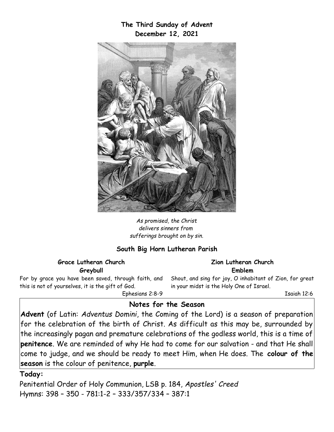**The Third Sunday of Advent December 12, 2021**



*As promised, the Christ delivers sinners from sufferings brought on by sin.*

## **South Big Horn Lutheran Parish**

## **Grace Lutheran Church Greybull**

For by grace you have been saved, through faith, and this is not of yourselves, it is the gift of God.

Ephesians 2:8-9

# **Notes for the Season**

**Advent** (of Latin: *Adventus Domini*, the Coming of the Lord) is a season of preparation for the celebration of the birth of Christ. As difficult as this may be, surrounded by the increasingly pagan and premature celebrations of the godless world, this is a time of **penitence**. We are reminded of why He had to come for our salvation - and that He shall come to judge, and we should be ready to meet Him, when He does. The **colour of the season** is the colour of penitence, **purple**.

## **Today:**

Penitential Order of Holy Communion, LSB p. 184, *Apostles' Creed* Hymns: 398 – 350 - 781:1-2 – 333/357/334 – 387:1

#### **Zion Lutheran Church Emblem**

Shout, and sing for joy, O inhabitant of Zion, for great in your midst is the Holy One of Israel.

Isaiah 12:6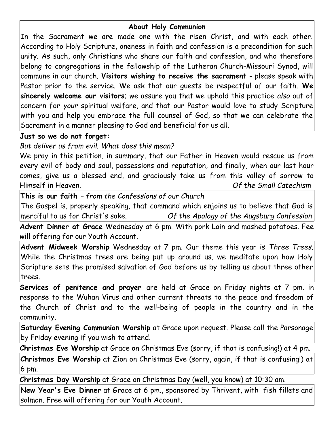## **About Holy Communion**

In the Sacrament we are made one with the risen Christ, and with each other. According to Holy Scripture, oneness in faith and confession is a precondition for such unity. As such, only Christians who share our faith and confession, and who therefore belong to congregations in the fellowship of the Lutheran Church-Missouri Synod, will commune in our church. **Visitors wishing to receive the sacrament** - please speak with Pastor prior to the service. We ask that our guests be respectful of our faith. **We sincerely welcome our visitors**; we assure you that we uphold this practice *also* out of concern for *your* spiritual welfare, and that our Pastor would love to study Scripture with you and help you embrace the full counsel of God, so that we can celebrate the Sacrament in a manner pleasing to God and beneficial for us all.

# **Just so we do not forget:**

*But deliver us from evil. What does this mean?*

We pray in this petition, in summary, that our Father in Heaven would rescue us from every evil of body and soul, possessions and reputation, and finally, when our last hour comes, give us a blessed end, and graciously take us from this valley of sorrow to Himself in Heaven. *Of the Small Catechism*

**This is our faith** *– from the Confessions of our Church*

The Gospel is, properly speaking, that command which enjoins us to believe that God is merciful to us for Christ's sake. *Of the Apology of the Augsburg Confession*

**Advent Dinner at Grace** Wednesday at 6 pm. With pork Loin and mashed potatoes. Fee will offering for our Youth Account.

**Advent Midweek Worship** Wednesday at 7 pm. Our theme this year is *Three Trees*. While the Christmas trees are being put up around us, we meditate upon how Holy Scripture sets the promised salvation of God before us by telling us about three other trees.

**Services of penitence and prayer** are held at Grace on Friday nights at 7 pm. in response to the Wuhan Virus and other current threats to the peace and freedom of the Church of Christ and to the well-being of people in the country and in the community.

**Saturday Evening Communion Worship** at Grace upon request. Please call the Parsonage by Friday evening if you wish to attend.

**Christmas Eve Worship** at Grace on Christmas Eve (sorry, if that is confusing!) at 4 pm.

**Christmas Eve Worship** at Zion on Christmas Eve (sorry, again, if that is confusing!) at 6 pm.

**Christmas Day Worship** at Grace on Christmas Day (well, you know) at 10:30 am.

**New Year's Eve Dinner** at Grace at 6 pm., sponsored by Thrivent, with fish fillets and salmon. Free will offering for our Youth Account.